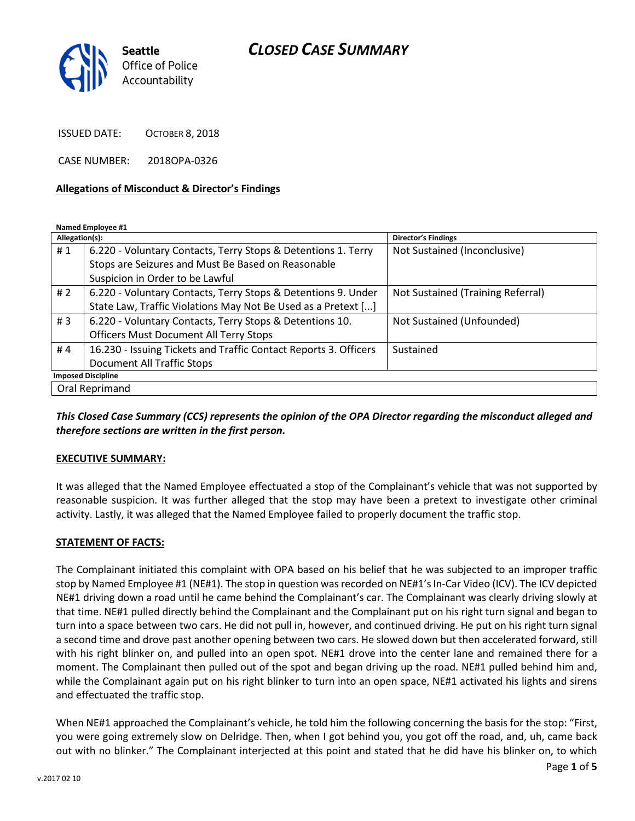

ISSUED DATE: OCTOBER 8, 2018

CASE NUMBER: 2018OPA-0326

#### Allegations of Misconduct & Director's Findings

Named Employee #1

| Allegation(s):            |                                                                  | <b>Director's Findings</b>        |
|---------------------------|------------------------------------------------------------------|-----------------------------------|
| #1                        | 6.220 - Voluntary Contacts, Terry Stops & Detentions 1. Terry    | Not Sustained (Inconclusive)      |
|                           | Stops are Seizures and Must Be Based on Reasonable               |                                   |
|                           | Suspicion in Order to be Lawful                                  |                                   |
| #2                        | 6.220 - Voluntary Contacts, Terry Stops & Detentions 9. Under    | Not Sustained (Training Referral) |
|                           | State Law, Traffic Violations May Not Be Used as a Pretext []    |                                   |
| #3                        | 6.220 - Voluntary Contacts, Terry Stops & Detentions 10.         | Not Sustained (Unfounded)         |
|                           | <b>Officers Must Document All Terry Stops</b>                    |                                   |
| #4                        | 16.230 - Issuing Tickets and Traffic Contact Reports 3. Officers | Sustained                         |
|                           | <b>Document All Traffic Stops</b>                                |                                   |
| <b>Imposed Discipline</b> |                                                                  |                                   |
| Oral Reprimand            |                                                                  |                                   |

This Closed Case Summary (CCS) represents the opinion of the OPA Director regarding the misconduct alleged and therefore sections are written in the first person.

#### EXECUTIVE SUMMARY:

It was alleged that the Named Employee effectuated a stop of the Complainant's vehicle that was not supported by reasonable suspicion. It was further alleged that the stop may have been a pretext to investigate other criminal activity. Lastly, it was alleged that the Named Employee failed to properly document the traffic stop.

#### STATEMENT OF FACTS:

The Complainant initiated this complaint with OPA based on his belief that he was subjected to an improper traffic stop by Named Employee #1 (NE#1). The stop in question was recorded on NE#1's In-Car Video (ICV). The ICV depicted NE#1 driving down a road until he came behind the Complainant's car. The Complainant was clearly driving slowly at that time. NE#1 pulled directly behind the Complainant and the Complainant put on his right turn signal and began to turn into a space between two cars. He did not pull in, however, and continued driving. He put on his right turn signal a second time and drove past another opening between two cars. He slowed down but then accelerated forward, still with his right blinker on, and pulled into an open spot. NE#1 drove into the center lane and remained there for a moment. The Complainant then pulled out of the spot and began driving up the road. NE#1 pulled behind him and, while the Complainant again put on his right blinker to turn into an open space, NE#1 activated his lights and sirens and effectuated the traffic stop.

When NE#1 approached the Complainant's vehicle, he told him the following concerning the basis for the stop: "First, you were going extremely slow on Delridge. Then, when I got behind you, you got off the road, and, uh, came back out with no blinker." The Complainant interjected at this point and stated that he did have his blinker on, to which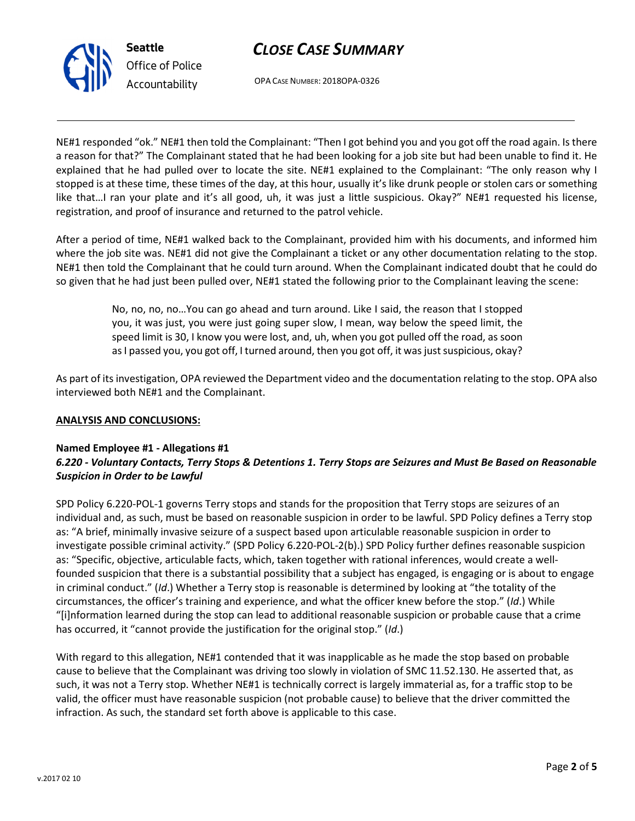

Office of Police Accountability

OPA CASE NUMBER: 2018OPA-0326

NE#1 responded "ok." NE#1 then told the Complainant: "Then I got behind you and you got off the road again. Is there a reason for that?" The Complainant stated that he had been looking for a job site but had been unable to find it. He explained that he had pulled over to locate the site. NE#1 explained to the Complainant: "The only reason why I stopped is at these time, these times of the day, at this hour, usually it's like drunk people or stolen cars or something like that…I ran your plate and it's all good, uh, it was just a little suspicious. Okay?" NE#1 requested his license, registration, and proof of insurance and returned to the patrol vehicle.

After a period of time, NE#1 walked back to the Complainant, provided him with his documents, and informed him where the job site was. NE#1 did not give the Complainant a ticket or any other documentation relating to the stop. NE#1 then told the Complainant that he could turn around. When the Complainant indicated doubt that he could do so given that he had just been pulled over, NE#1 stated the following prior to the Complainant leaving the scene:

> No, no, no, no…You can go ahead and turn around. Like I said, the reason that I stopped you, it was just, you were just going super slow, I mean, way below the speed limit, the speed limit is 30, I know you were lost, and, uh, when you got pulled off the road, as soon as I passed you, you got off, I turned around, then you got off, it was just suspicious, okay?

As part of its investigation, OPA reviewed the Department video and the documentation relating to the stop. OPA also interviewed both NE#1 and the Complainant.

### ANALYSIS AND CONCLUSIONS:

### Named Employee #1 - Allegations #1

### 6.220 - Voluntary Contacts, Terry Stops & Detentions 1. Terry Stops are Seizures and Must Be Based on Reasonable Suspicion in Order to be Lawful

SPD Policy 6.220-POL-1 governs Terry stops and stands for the proposition that Terry stops are seizures of an individual and, as such, must be based on reasonable suspicion in order to be lawful. SPD Policy defines a Terry stop as: "A brief, minimally invasive seizure of a suspect based upon articulable reasonable suspicion in order to investigate possible criminal activity." (SPD Policy 6.220-POL-2(b).) SPD Policy further defines reasonable suspicion as: "Specific, objective, articulable facts, which, taken together with rational inferences, would create a wellfounded suspicion that there is a substantial possibility that a subject has engaged, is engaging or is about to engage in criminal conduct." (Id.) Whether a Terry stop is reasonable is determined by looking at "the totality of the circumstances, the officer's training and experience, and what the officer knew before the stop." (Id.) While "[i]nformation learned during the stop can lead to additional reasonable suspicion or probable cause that a crime has occurred, it "cannot provide the justification for the original stop." (Id.)

With regard to this allegation, NE#1 contended that it was inapplicable as he made the stop based on probable cause to believe that the Complainant was driving too slowly in violation of SMC 11.52.130. He asserted that, as such, it was not a Terry stop. Whether NE#1 is technically correct is largely immaterial as, for a traffic stop to be valid, the officer must have reasonable suspicion (not probable cause) to believe that the driver committed the infraction. As such, the standard set forth above is applicable to this case.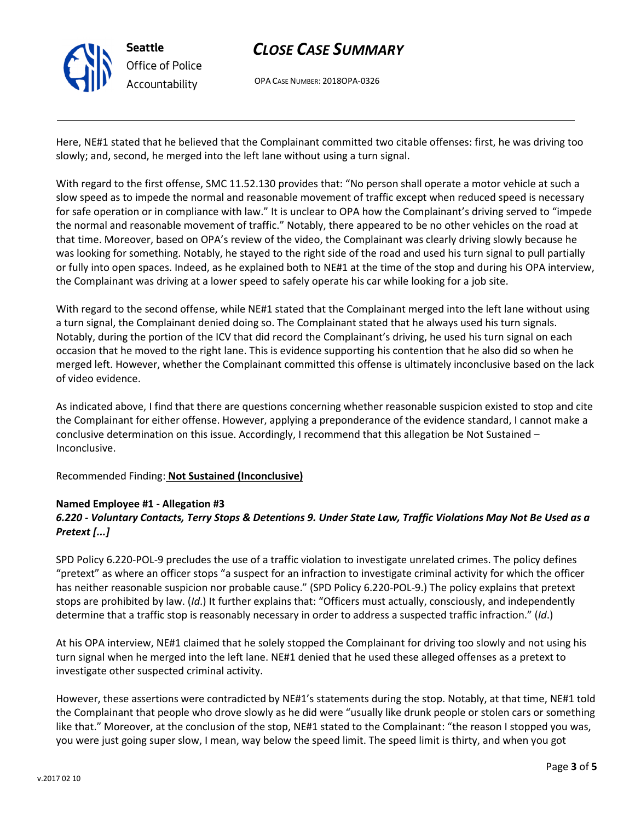

OPA CASE NUMBER: 2018OPA-0326

Here, NE#1 stated that he believed that the Complainant committed two citable offenses: first, he was driving too slowly; and, second, he merged into the left lane without using a turn signal.

With regard to the first offense, SMC 11.52.130 provides that: "No person shall operate a motor vehicle at such a slow speed as to impede the normal and reasonable movement of traffic except when reduced speed is necessary for safe operation or in compliance with law." It is unclear to OPA how the Complainant's driving served to "impede the normal and reasonable movement of traffic." Notably, there appeared to be no other vehicles on the road at that time. Moreover, based on OPA's review of the video, the Complainant was clearly driving slowly because he was looking for something. Notably, he stayed to the right side of the road and used his turn signal to pull partially or fully into open spaces. Indeed, as he explained both to NE#1 at the time of the stop and during his OPA interview, the Complainant was driving at a lower speed to safely operate his car while looking for a job site.

With regard to the second offense, while NE#1 stated that the Complainant merged into the left lane without using a turn signal, the Complainant denied doing so. The Complainant stated that he always used his turn signals. Notably, during the portion of the ICV that did record the Complainant's driving, he used his turn signal on each occasion that he moved to the right lane. This is evidence supporting his contention that he also did so when he merged left. However, whether the Complainant committed this offense is ultimately inconclusive based on the lack of video evidence.

As indicated above, I find that there are questions concerning whether reasonable suspicion existed to stop and cite the Complainant for either offense. However, applying a preponderance of the evidence standard, I cannot make a conclusive determination on this issue. Accordingly, I recommend that this allegation be Not Sustained – Inconclusive.

Recommended Finding: Not Sustained (Inconclusive)

#### Named Employee #1 - Allegation #3 6.220 - Voluntary Contacts, Terry Stops & Detentions 9. Under State Law, Traffic Violations May Not Be Used as a Pretext [...]

SPD Policy 6.220-POL-9 precludes the use of a traffic violation to investigate unrelated crimes. The policy defines "pretext" as where an officer stops "a suspect for an infraction to investigate criminal activity for which the officer has neither reasonable suspicion nor probable cause." (SPD Policy 6.220-POL-9.) The policy explains that pretext stops are prohibited by law. (Id.) It further explains that: "Officers must actually, consciously, and independently determine that a traffic stop is reasonably necessary in order to address a suspected traffic infraction." (Id.)

At his OPA interview, NE#1 claimed that he solely stopped the Complainant for driving too slowly and not using his turn signal when he merged into the left lane. NE#1 denied that he used these alleged offenses as a pretext to investigate other suspected criminal activity.

However, these assertions were contradicted by NE#1's statements during the stop. Notably, at that time, NE#1 told the Complainant that people who drove slowly as he did were "usually like drunk people or stolen cars or something like that." Moreover, at the conclusion of the stop, NE#1 stated to the Complainant: "the reason I stopped you was, you were just going super slow, I mean, way below the speed limit. The speed limit is thirty, and when you got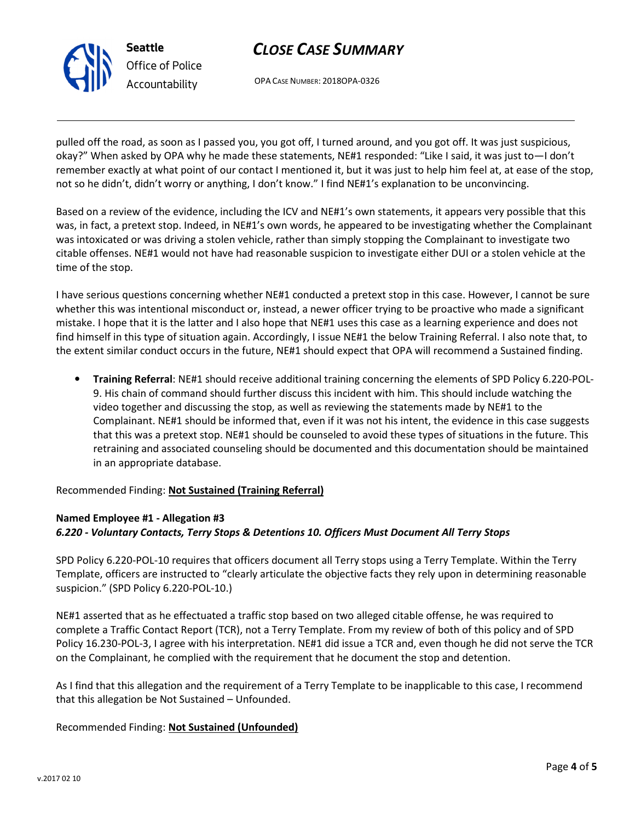OPA CASE NUMBER: 2018OPA-0326

pulled off the road, as soon as I passed you, you got off, I turned around, and you got off. It was just suspicious, okay?" When asked by OPA why he made these statements, NE#1 responded: "Like I said, it was just to—I don't remember exactly at what point of our contact I mentioned it, but it was just to help him feel at, at ease of the stop, not so he didn't, didn't worry or anything, I don't know." I find NE#1's explanation to be unconvincing.

Based on a review of the evidence, including the ICV and NE#1's own statements, it appears very possible that this was, in fact, a pretext stop. Indeed, in NE#1's own words, he appeared to be investigating whether the Complainant was intoxicated or was driving a stolen vehicle, rather than simply stopping the Complainant to investigate two citable offenses. NE#1 would not have had reasonable suspicion to investigate either DUI or a stolen vehicle at the time of the stop.

I have serious questions concerning whether NE#1 conducted a pretext stop in this case. However, I cannot be sure whether this was intentional misconduct or, instead, a newer officer trying to be proactive who made a significant mistake. I hope that it is the latter and I also hope that NE#1 uses this case as a learning experience and does not find himself in this type of situation again. Accordingly, I issue NE#1 the below Training Referral. I also note that, to the extent similar conduct occurs in the future, NE#1 should expect that OPA will recommend a Sustained finding.

• Training Referral: NE#1 should receive additional training concerning the elements of SPD Policy 6.220-POL-9. His chain of command should further discuss this incident with him. This should include watching the video together and discussing the stop, as well as reviewing the statements made by NE#1 to the Complainant. NE#1 should be informed that, even if it was not his intent, the evidence in this case suggests that this was a pretext stop. NE#1 should be counseled to avoid these types of situations in the future. This retraining and associated counseling should be documented and this documentation should be maintained in an appropriate database.

Recommended Finding: Not Sustained (Training Referral)

### Named Employee #1 - Allegation #3 6.220 - Voluntary Contacts, Terry Stops & Detentions 10. Officers Must Document All Terry Stops

SPD Policy 6.220-POL-10 requires that officers document all Terry stops using a Terry Template. Within the Terry Template, officers are instructed to "clearly articulate the objective facts they rely upon in determining reasonable suspicion." (SPD Policy 6.220-POL-10.)

NE#1 asserted that as he effectuated a traffic stop based on two alleged citable offense, he was required to complete a Traffic Contact Report (TCR), not a Terry Template. From my review of both of this policy and of SPD Policy 16.230-POL-3, I agree with his interpretation. NE#1 did issue a TCR and, even though he did not serve the TCR on the Complainant, he complied with the requirement that he document the stop and detention.

As I find that this allegation and the requirement of a Terry Template to be inapplicable to this case, I recommend that this allegation be Not Sustained – Unfounded.

### Recommended Finding: Not Sustained (Unfounded)



Seattle Office of Police Accountability